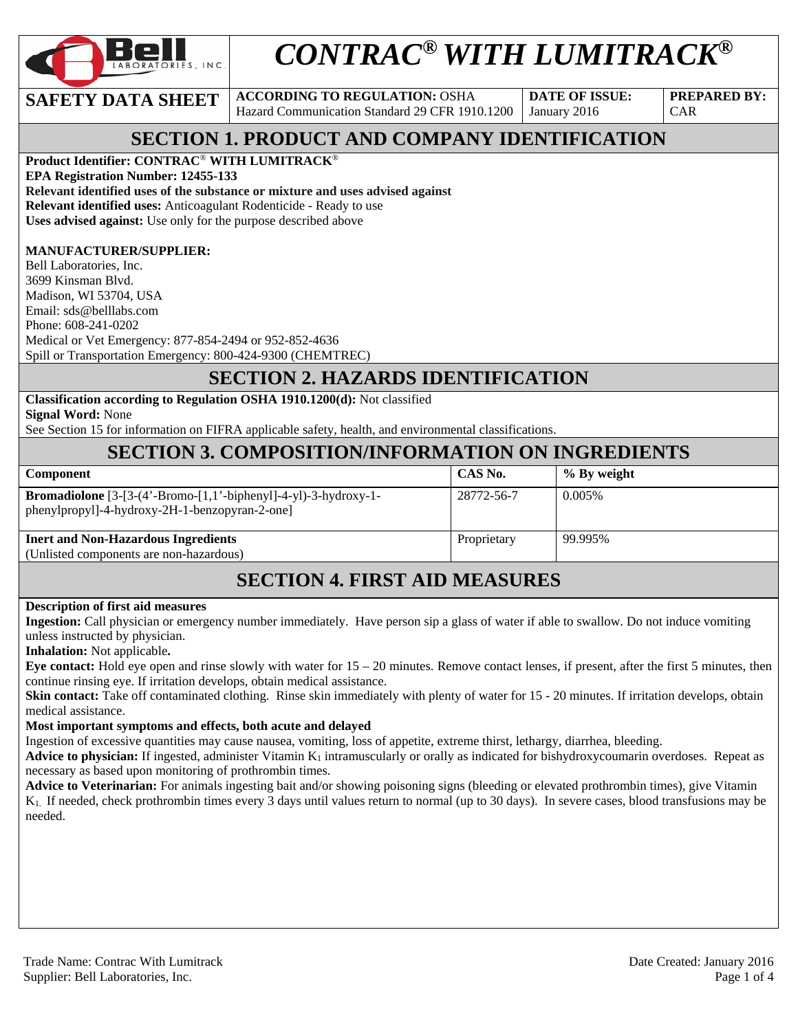

# *CONTRAC® WITH LUMITRACK®*

**SAFETY DATA SHEET ACCORDING TO REGULATION: OSHA** Hazard Communication Standard 29 CFR 1910.1200

**DATE OF ISSUE:**  January 2016

**PREPARED BY:**  CAR

# **SECTION 1. PRODUCT AND COMPANY IDENTIFICATION**

**Product Identifier: CONTRAC**® **WITH LUMITRACK**®

**EPA Registration Number: 12455-133 Relevant identified uses of the substance or mixture and uses advised against Relevant identified uses:** Anticoagulant Rodenticide - Ready to use **Uses advised against:** Use only for the purpose described above

#### **MANUFACTURER/SUPPLIER:**

Bell Laboratories, Inc. 3699 Kinsman Blvd. Madison, WI 53704, USA Email: sds@belllabs.com Phone: 608-241-0202 Medical or Vet Emergency: 877-854-2494 or 952-852-4636 Spill or Transportation Emergency: 800-424-9300 (CHEMTREC)

## **SECTION 2. HAZARDS IDENTIFICATION**

**Classification according to Regulation OSHA 1910.1200(d):** Not classified **Signal Word:** None

See Section 15 for information on FIFRA applicable safety, health, and environmental classifications.

# **SECTION 3. COMPOSITION/INFORMATION ON INGREDIENTS**

| <b>Component</b>                                                                                                        | CAS No.     | % By weight |
|-------------------------------------------------------------------------------------------------------------------------|-------------|-------------|
| <b>Bromadiolone</b> $[3-(4'-Bromo-[1,1'-biphenyl]-4-yl)-3-hydroxy-1-$<br>phenylpropyl]-4-hydroxy-2H-1-benzopyran-2-one] | 28772-56-7  | $0.005\%$   |
| <b>Inert and Non-Hazardous Ingredients</b>                                                                              | Proprietary | 99.995%     |
| (Unlisted components are non-hazardous)                                                                                 |             |             |

# **SECTION 4. FIRST AID MEASURES**

#### **Description of first aid measures**

**Ingestion:** Call physician or emergency number immediately. Have person sip a glass of water if able to swallow. Do not induce vomiting unless instructed by physician.

**Inhalation:** Not applicable**.** 

**Eye contact:** Hold eye open and rinse slowly with water for 15 – 20 minutes. Remove contact lenses, if present, after the first 5 minutes, then continue rinsing eye. If irritation develops, obtain medical assistance.

**Skin contact:** Take off contaminated clothing. Rinse skin immediately with plenty of water for 15 - 20 minutes. If irritation develops, obtain medical assistance.

#### **Most important symptoms and effects, both acute and delayed**

Ingestion of excessive quantities may cause nausea, vomiting, loss of appetite, extreme thirst, lethargy, diarrhea, bleeding.

**Advice to physician:** If ingested, administer Vitamin  $K_1$  intramuscularly or orally as indicated for bishydroxycoumarin overdoses. Repeat as necessary as based upon monitoring of prothrombin times.

**Advice to Veterinarian:** For animals ingesting bait and/or showing poisoning signs (bleeding or elevated prothrombin times), give Vitamin K1. If needed, check prothrombin times every 3 days until values return to normal (up to 30 days). In severe cases, blood transfusions may be needed.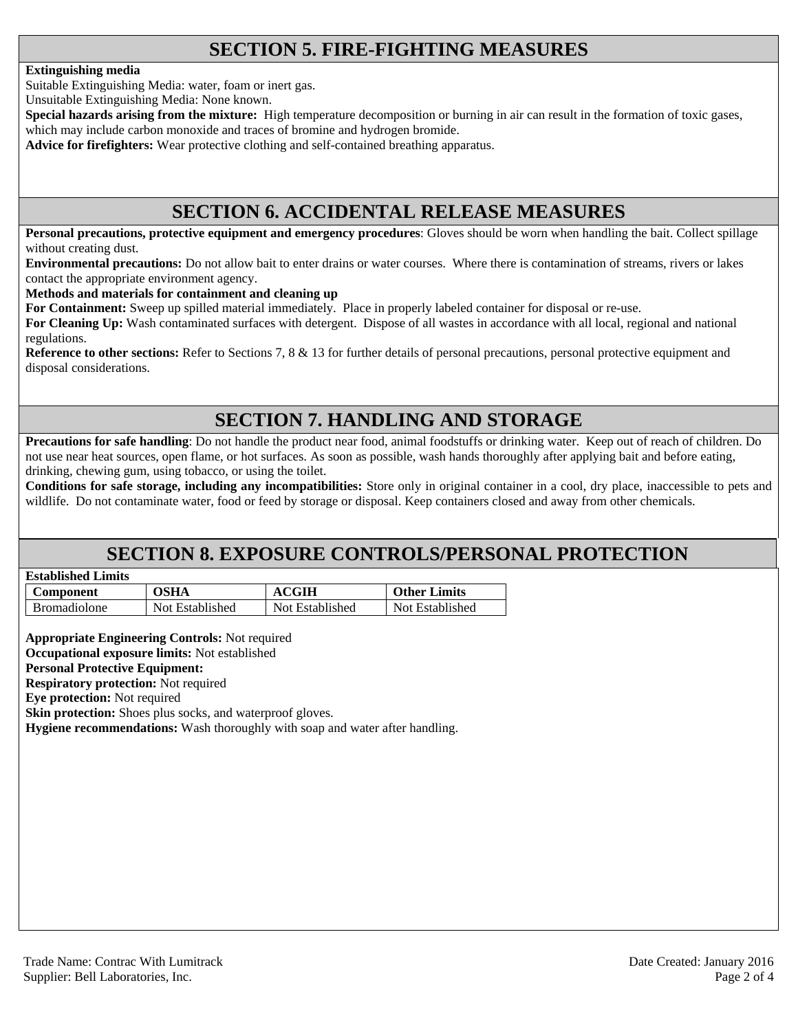# **SECTION 5. FIRE-FIGHTING MEASURES**

#### **Extinguishing media**

Suitable Extinguishing Media: water, foam or inert gas.

Unsuitable Extinguishing Media: None known.

**Special hazards arising from the mixture:** High temperature decomposition or burning in air can result in the formation of toxic gases, which may include carbon monoxide and traces of bromine and hydrogen bromide.

**Advice for firefighters:** Wear protective clothing and self-contained breathing apparatus.

## **SECTION 6. ACCIDENTAL RELEASE MEASURES**

**Personal precautions, protective equipment and emergency procedures**: Gloves should be worn when handling the bait. Collect spillage without creating dust.

**Environmental precautions:** Do not allow bait to enter drains or water courses. Where there is contamination of streams, rivers or lakes contact the appropriate environment agency.

**Methods and materials for containment and cleaning up**

**For Containment:** Sweep up spilled material immediately. Place in properly labeled container for disposal or re-use.

**For Cleaning Up:** Wash contaminated surfaces with detergent. Dispose of all wastes in accordance with all local, regional and national regulations.

**Reference to other sections:** Refer to Sections 7, 8 & 13 for further details of personal precautions, personal protective equipment and disposal considerations.

# **SECTION 7. HANDLING AND STORAGE**

**Precautions for safe handling**: Do not handle the product near food, animal foodstuffs or drinking water. Keep out of reach of children. Do not use near heat sources, open flame, or hot surfaces. As soon as possible, wash hands thoroughly after applying bait and before eating, drinking, chewing gum, using tobacco, or using the toilet.

**Conditions for safe storage, including any incompatibilities:** Store only in original container in a cool, dry place, inaccessible to pets and wildlife. Do not contaminate water, food or feed by storage or disposal. Keep containers closed and away from other chemicals.

## **SECTION 8. EXPOSURE CONTROLS/PERSONAL PROTECTION**

| <b>Established Limits</b> |  |
|---------------------------|--|
|                           |  |

| Component           | <b>OSHA</b>     | <b>ACGIH</b>    | <b>Other Limits</b> |
|---------------------|-----------------|-----------------|---------------------|
| <b>Bromadiolone</b> | Not Established | Not Established | Not Established     |

**Appropriate Engineering Controls:** Not required

**Occupational exposure limits:** Not established

**Personal Protective Equipment:** 

**Respiratory protection:** Not required

**Eye protection:** Not required

**Skin protection:** Shoes plus socks, and waterproof gloves.

**Hygiene recommendations:** Wash thoroughly with soap and water after handling.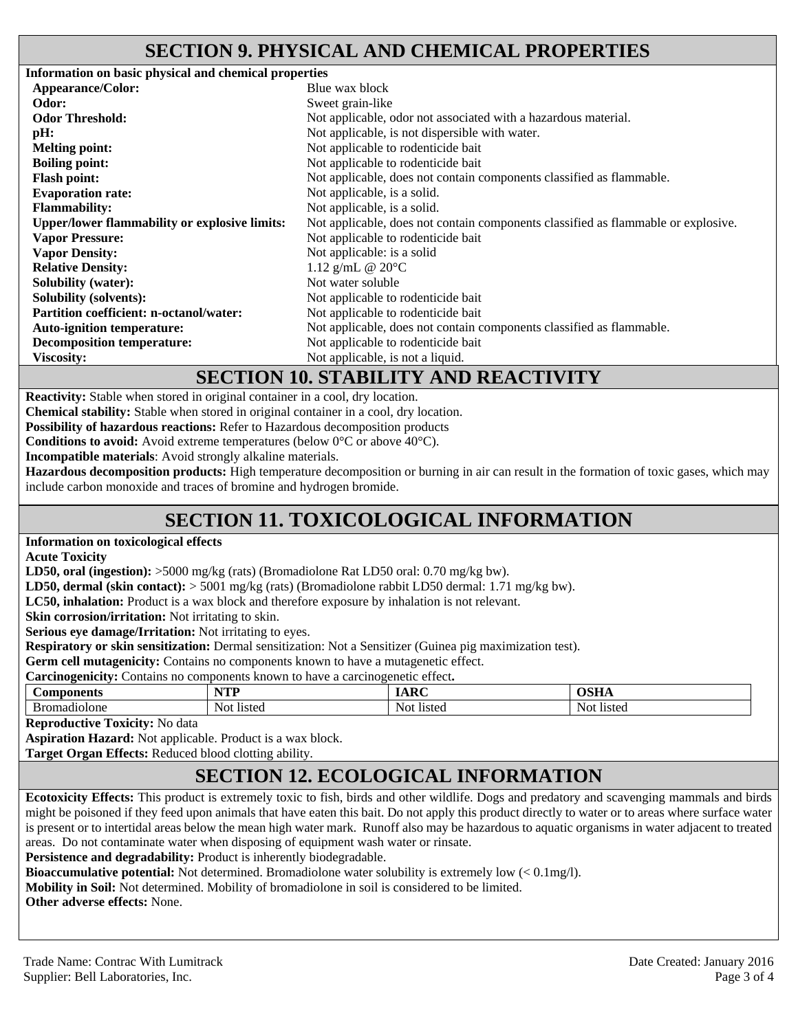## **SECTION 9. PHYSICAL AND CHEMICAL PROPERTIES**

**Information on basic physical and chemical properties Appearance/Color:** Blue wax block **Odor:** Sweet grain-like **Odor Threshold:** Not applicable, odor not associated with a hazardous material. **pH:** Not applicable, is not dispersible with water. **Melting point:** Not applicable to rodenticide bait<br> **Roiling point:** Not applicable to rodenticide bait Not applicable to rodenticide bait **Flash point:** Not applicable, does not contain components classified as flammable. **Evaporation rate:** Not applicable, is a solid. **Flammability:** Not applicable, is a solid. **Upper/lower flammability or explosive limits:** Not applicable, does not contain components classified as flammable or explosive. **Vapor Pressure: Vapor Density:**  Not applicable to rodenticide bait Not applicable: is a solid **Relative Density:** 1.12 g/mL @ 20°C **Solubility (water):** Not water soluble **Solubility (solvents):** Not applicable to rodenticide bait **Partition coefficient: n-octanol/water:** Not applicable to rodenticide bait Auto-ignition temperature: Not applicable, does not contain components classified as flammable. **Decomposition temperature:** Not applicable to rodenticide bait **Viscosity:** Not applicable, is not a liquid.

#### **SECTION 10. STABILITY AND REACTIVITY**

**Reactivity:** Stable when stored in original container in a cool, dry location.

**Chemical stability:** Stable when stored in original container in a cool, dry location.

**Possibility of hazardous reactions:** Refer to Hazardous decomposition products

**Conditions to avoid:** Avoid extreme temperatures (below 0°C or above 40°C).

**Incompatible materials**: Avoid strongly alkaline materials.

**Hazardous decomposition products:** High temperature decomposition or burning in air can result in the formation of toxic gases, which may include carbon monoxide and traces of bromine and hydrogen bromide.

# **SECTION 11. TOXICOLOGICAL INFORMATION**

**Information on toxicological effects** 

**Acute Toxicity** 

**LD50, oral (ingestion):** >5000 mg/kg (rats) (Bromadiolone Rat LD50 oral: 0.70 mg/kg bw).

**LD50, dermal (skin contact):** > 5001 mg/kg (rats) (Bromadiolone rabbit LD50 dermal: 1.71 mg/kg bw).

**LC50, inhalation:** Product is a wax block and therefore exposure by inhalation is not relevant.

**Skin corrosion/irritation:** Not irritating to skin.

**Serious eye damage/Irritation:** Not irritating to eyes.

**Respiratory or skin sensitization:** Dermal sensitization: Not a Sensitizer (Guinea pig maximization test).

**Germ cell mutagenicity:** Contains no components known to have a mutagenetic effect.

**Carcinogenicity:** Contains no components known to have a carcinogenetic effect**.** 

| ponents<br>$\mathcal{L}^{\mathbf{0}}$ | VTD<br>.      | $\sim$         | $\sim$ $\sim$ $\sim$   |
|---------------------------------------|---------------|----------------|------------------------|
| 11010ne<br>$\sim$<br>-Br′<br>ΉТ<br>m  | Not<br>listed | Not.<br>listed | N∩t<br>11010<br>risteg |

**Reproductive Toxicity:** No data

**Aspiration Hazard:** Not applicable. Product is a wax block.

**Target Organ Effects:** Reduced blood clotting ability.

# **SECTION 12. ECOLOGICAL INFORMATION**

**Ecotoxicity Effects:** This product is extremely toxic to fish, birds and other wildlife. Dogs and predatory and scavenging mammals and birds might be poisoned if they feed upon animals that have eaten this bait. Do not apply this product directly to water or to areas where surface water is present or to intertidal areas below the mean high water mark. Runoff also may be hazardous to aquatic organisms in water adjacent to treated areas. Do not contaminate water when disposing of equipment wash water or rinsate.

Persistence and degradability: Product is inherently biodegradable.

**Bioaccumulative potential:** Not determined. Bromadiolone water solubility is extremely low (< 0.1mg/l).

**Mobility in Soil:** Not determined. Mobility of bromadiolone in soil is considered to be limited.

**Other adverse effects:** None.